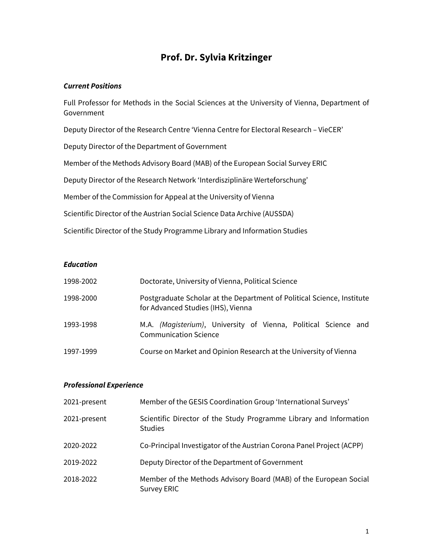# **Prof. Dr. Sylvia Kritzinger**

#### *Current Positions*

Full Professor for Methods in the Social Sciences at the University of Vienna, Department of Government

Deputy Director of the Research Centre 'Vienna Centre for Electoral Research – VieCER'

Deputy Director of the Department of Government

Member of the Methods Advisory Board (MAB) of the European Social Survey ERIC

Deputy Director of the Research Network 'Interdisziplinäre Werteforschung'

Member of the Commission for Appeal at the University of Vienna

Scientific Director of the Austrian Social Science Data Archive (AUSSDA)

Scientific Director of the Study Programme Library and Information Studies

#### *Education*

| 1998-2002 | Doctorate, University of Vienna, Political Science                                                           |  |  |
|-----------|--------------------------------------------------------------------------------------------------------------|--|--|
| 1998-2000 | Postgraduate Scholar at the Department of Political Science, Institute<br>for Advanced Studies (IHS), Vienna |  |  |
| 1993-1998 | M.A. (Magisterium), University of Vienna, Political Science and<br><b>Communication Science</b>              |  |  |
| 1997-1999 | Course on Market and Opinion Research at the University of Vienna                                            |  |  |

## *Professional Experience*

| 2021-present | Member of the GESIS Coordination Group 'International Surveys'                       |
|--------------|--------------------------------------------------------------------------------------|
| 2021-present | Scientific Director of the Study Programme Library and Information<br><b>Studies</b> |
| 2020-2022    | Co-Principal Investigator of the Austrian Corona Panel Project (ACPP)                |
| 2019-2022    | Deputy Director of the Department of Government                                      |
| 2018-2022    | Member of the Methods Advisory Board (MAB) of the European Social<br>Survey ERIC     |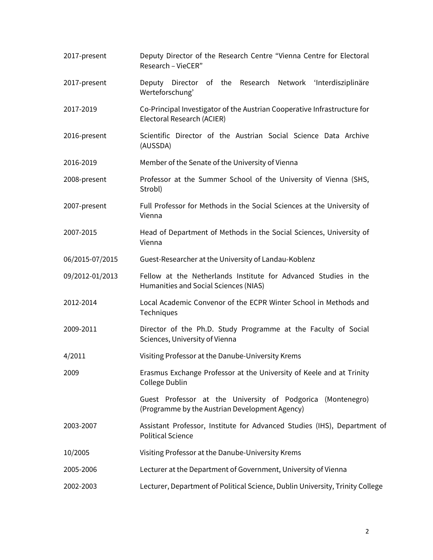| 2017-present    | Deputy Director of the Research Centre "Vienna Centre for Electoral<br>Research - VieCER"                     |  |  |
|-----------------|---------------------------------------------------------------------------------------------------------------|--|--|
| 2017-present    | Deputy Director of the Research Network 'Interdisziplinäre<br>Werteforschung'                                 |  |  |
| 2017-2019       | Co-Principal Investigator of the Austrian Cooperative Infrastructure for<br>Electoral Research (ACIER)        |  |  |
| 2016-present    | Scientific Director of the Austrian Social Science Data Archive<br>(AUSSDA)                                   |  |  |
| 2016-2019       | Member of the Senate of the University of Vienna                                                              |  |  |
| 2008-present    | Professor at the Summer School of the University of Vienna (SHS,<br>Strobl)                                   |  |  |
| 2007-present    | Full Professor for Methods in the Social Sciences at the University of<br>Vienna                              |  |  |
| 2007-2015       | Head of Department of Methods in the Social Sciences, University of<br>Vienna                                 |  |  |
| 06/2015-07/2015 | Guest-Researcher at the University of Landau-Koblenz                                                          |  |  |
| 09/2012-01/2013 | Fellow at the Netherlands Institute for Advanced Studies in the<br>Humanities and Social Sciences (NIAS)      |  |  |
| 2012-2014       | Local Academic Convenor of the ECPR Winter School in Methods and<br>Techniques                                |  |  |
| 2009-2011       | Director of the Ph.D. Study Programme at the Faculty of Social<br>Sciences, University of Vienna              |  |  |
| 4/2011          | Visiting Professor at the Danube-University Krems                                                             |  |  |
| 2009            | Erasmus Exchange Professor at the University of Keele and at Trinity<br>College Dublin                        |  |  |
|                 | Guest Professor at the University of Podgorica (Montenegro)<br>(Programme by the Austrian Development Agency) |  |  |
| 2003-2007       | Assistant Professor, Institute for Advanced Studies (IHS), Department of<br><b>Political Science</b>          |  |  |
| 10/2005         | Visiting Professor at the Danube-University Krems                                                             |  |  |
| 2005-2006       | Lecturer at the Department of Government, University of Vienna                                                |  |  |
| 2002-2003       | Lecturer, Department of Political Science, Dublin University, Trinity College                                 |  |  |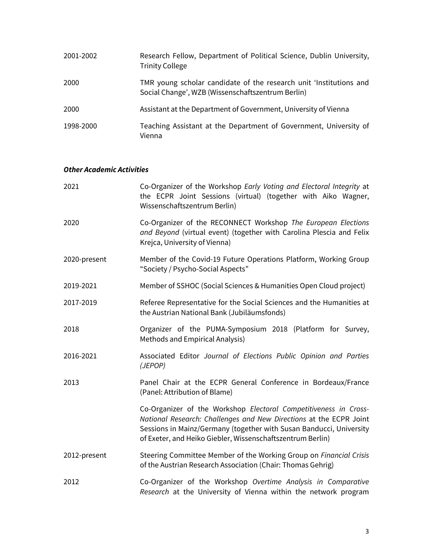| 2001-2002 | Research Fellow, Department of Political Science, Dublin University,<br><b>Trinity College</b>                          |
|-----------|-------------------------------------------------------------------------------------------------------------------------|
| 2000      | TMR young scholar candidate of the research unit 'Institutions and<br>Social Change', WZB (Wissenschaftszentrum Berlin) |
| 2000      | Assistant at the Department of Government, University of Vienna                                                         |
| 1998-2000 | Teaching Assistant at the Department of Government, University of<br>Vienna                                             |

## *Other Academic Activities*

| 2021         | Co-Organizer of the Workshop Early Voting and Electoral Integrity at<br>the ECPR Joint Sessions (virtual) (together with Aiko Wagner,<br>Wissenschaftszentrum Berlin)                                                                                                       |
|--------------|-----------------------------------------------------------------------------------------------------------------------------------------------------------------------------------------------------------------------------------------------------------------------------|
| 2020         | Co-Organizer of the RECONNECT Workshop The European Elections<br>and Beyond (virtual event) (together with Carolina Plescia and Felix<br>Krejca, University of Vienna)                                                                                                      |
| 2020-present | Member of the Covid-19 Future Operations Platform, Working Group<br>"Society / Psycho-Social Aspects"                                                                                                                                                                       |
| 2019-2021    | Member of SSHOC (Social Sciences & Humanities Open Cloud project)                                                                                                                                                                                                           |
| 2017-2019    | Referee Representative for the Social Sciences and the Humanities at<br>the Austrian National Bank (Jubiläumsfonds)                                                                                                                                                         |
| 2018         | Organizer of the PUMA-Symposium 2018 (Platform for Survey,<br>Methods and Empirical Analysis)                                                                                                                                                                               |
| 2016-2021    | Associated Editor Journal of Elections Public Opinion and Parties<br>(JEPOP)                                                                                                                                                                                                |
| 2013         | Panel Chair at the ECPR General Conference in Bordeaux/France<br>(Panel: Attribution of Blame)                                                                                                                                                                              |
|              | Co-Organizer of the Workshop Electoral Competitiveness in Cross-<br>National Research: Challenges and New Directions at the ECPR Joint<br>Sessions in Mainz/Germany (together with Susan Banducci, University<br>of Exeter, and Heiko Giebler, Wissenschaftszentrum Berlin) |
| 2012-present | Steering Committee Member of the Working Group on Financial Crisis<br>of the Austrian Research Association (Chair: Thomas Gehrig)                                                                                                                                           |
| 2012         | Co-Organizer of the Workshop Overtime Analysis in Comparative<br>Research at the University of Vienna within the network program                                                                                                                                            |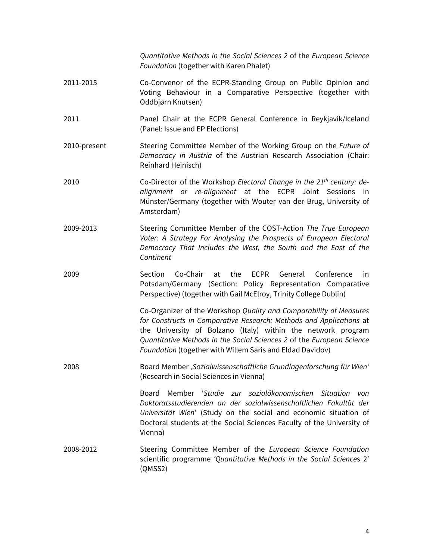*Quantitative Methods in the Social Sciences 2* of the *European Science Foundation* (together with Karen Phalet)

- 2011-2015 Co-Convenor of the ECPR-Standing Group on Public Opinion and Voting Behaviour in a Comparative Perspective (together with Oddbjørn Knutsen)
- 2011 Panel Chair at the ECPR General Conference in Reykjavik/Iceland (Panel: Issue and EP Elections)
- 2010-present Steering Committee Member of the Working Group on the *Future of Democracy in Austria* of the Austrian Research Association (Chair: Reinhard Heinisch)
- 2010 Co-Director of the Workshop *Electoral Change in the 21th century: dealignment or re-alignment* at the ECPR Joint Sessions in Münster/Germany (together with Wouter van der Brug, University of Amsterdam)
- 2009-2013 Steering Committee Member of the COST-Action *The True European Voter: A Strategy For Analysing the Prospects of European Electoral Democracy That Includes the West, the South and the East of the Continent*
- 2009 Section Co-Chair at the ECPR General Conference in Potsdam/Germany (Section: Policy Representation Comparative Perspective) (together with Gail McElroy, Trinity College Dublin)

Co-Organizer of the Workshop *Quality and Comparability of Measures for Constructs in Comparative Research: Methods and Applications* at the University of Bolzano (Italy) within the network program *Quantitative Methods in the Social Sciences 2* of the *European Science Foundation* (together with Willem Saris and Eldad Davidov)

2008 Board Member *'Sozialwissenschaftliche Grundlagenforschung für Wien'* (Research in Social Sciences in Vienna)

> Board Member '*Studie zur sozialökonomischen Situation von Doktoratsstudierenden an der sozialwissenschaftlichen Fakultät der Universität Wien*' (Study on the social and economic situation of Doctoral students at the Social Sciences Faculty of the University of Vienna)

2008-2012 Steering Committee Member of the *European Science Foundation* scientific programme *'Quantitative Methods in the Social Science*s 2' (QMSS2)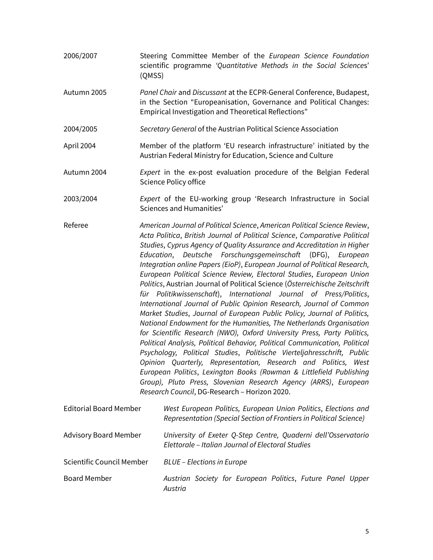- 2006/2007 Steering Committee Member of the *European Science Foundation* scientific programme *'Quantitative Methods in the Social Science*s' (QMSS)
- Autumn 2005 *Panel Chair* and *Discussant* at the ECPR-General Conference, Budapest, in the Section "Europeanisation, Governance and Political Changes: Empirical Investigation and Theoretical Reflections"
- 2004/2005 *Secretary General* of the Austrian Political Science Association
- April 2004 Member of the platform 'EU research infrastructure' initiated by the Austrian Federal Ministry for Education, Science and Culture
- Autumn 2004 *Expert* in the ex-post evaluation procedure of the Belgian Federal Science Policy office
- 2003/2004 *Expert* of the EU-working group 'Research Infrastructure in Social Sciences and Humanities'
- Referee *American Journal of Political Science*, *American Political Science Review*, *Acta Politica*, *British Journal of Political Science*, *Comparative Political Studies*, *Cyprus Agency of Quality Assurance and Accreditation in Higher Education*, *Deutsche Forschungsgemeinschaft* (DFG), *European Integration online Papers (EioP)*, *European Journal of Political Research, European Political Science Review, Electoral Studies*, *European Union Politics*, Austrian Journal of Political Science (*Österreichische Zeitschrift für Politikwissenschaft*), *International Journal of Press/Politics*, *International Journal of Public Opinion Research, Journal of Common Market Studies*, *Journal of European Public Policy, Journal of Politics, National Endowment for the Humanities, The Netherlands Organisation for Scientific Research (NWO), Oxford University Press, Party Politics, Political Analysis, Political Behavior, Political Communication, Political Psychology, Political Studies*, *Politische Vierteljahresschrift, Public Opinion Quarterly, Representation, Research and Politics, West European Politics*, *Lexington Books (Rowman & Littlefield Publishing Group), Pluto Press, Slovenian Research Agency (ARRS)*, *European Research Council*, DG-Research – Horizon 2020.
- Editorial Board Member *West European Politics, European Union Politics*, *Elections and Representation (Special Section of Frontiers in Political Science)* Advisory Board Member *University of Exeter Q-Step Centre, Quaderni dell'Osservatorio Elettorale – Italian Journal of Electoral Studies*  Scientific Council Member *BLUE – Elections in Europe* Board Member *Austrian Society for European Politics*, *Future Panel Upper Austria*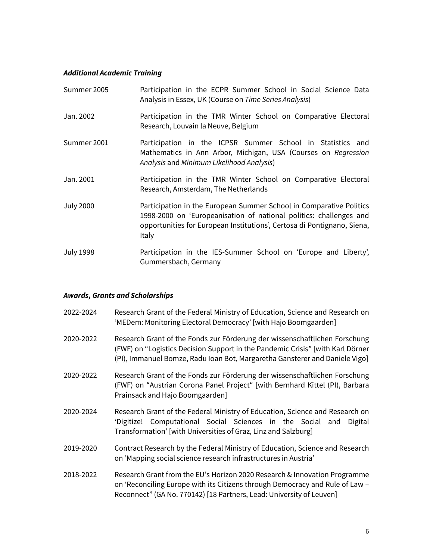## *Additional Academic Training*

| Summer 2005      | Participation in the ECPR Summer School in Social Science Data<br>Analysis in Essex, UK (Course on Time Series Analysis)                                                                                                      |
|------------------|-------------------------------------------------------------------------------------------------------------------------------------------------------------------------------------------------------------------------------|
| Jan. 2002        | Participation in the TMR Winter School on Comparative Electoral<br>Research, Louvain la Neuve, Belgium                                                                                                                        |
| Summer 2001      | Participation in the ICPSR Summer School in Statistics and<br>Mathematics in Ann Arbor, Michigan, USA (Courses on Regression<br>Analysis and Minimum Likelihood Analysis)                                                     |
| Jan. 2001        | Participation in the TMR Winter School on Comparative Electoral<br>Research, Amsterdam, The Netherlands                                                                                                                       |
| <b>July 2000</b> | Participation in the European Summer School in Comparative Politics<br>1998-2000 on 'Europeanisation of national politics: challenges and<br>opportunities for European Institutions', Certosa di Pontignano, Siena,<br>Italy |
| <b>July 1998</b> | Participation in the IES-Summer School on 'Europe and Liberty',<br>Gummersbach, Germany                                                                                                                                       |

## *Awards, Grants and Scholarships*

| 2022-2024 | Research Grant of the Federal Ministry of Education, Science and Research on<br>'MEDem: Monitoring Electoral Democracy' [with Hajo Boomgaarden]                                                                                             |
|-----------|---------------------------------------------------------------------------------------------------------------------------------------------------------------------------------------------------------------------------------------------|
| 2020-2022 | Research Grant of the Fonds zur Förderung der wissenschaftlichen Forschung<br>(FWF) on "Logistics Decision Support in the Pandemic Crisis" [with Karl Dörner<br>(PI), Immanuel Bomze, Radu Ioan Bot, Margaretha Gansterer and Daniele Vigo] |
| 2020-2022 | Research Grant of the Fonds zur Förderung der wissenschaftlichen Forschung<br>(FWF) on "Austrian Corona Panel Project" [with Bernhard Kittel (PI), Barbara<br>Prainsack and Hajo Boomgaarden]                                               |
| 2020-2024 | Research Grant of the Federal Ministry of Education, Science and Research on<br>'Digitize! Computational Social Sciences in the Social and<br>Digital<br>Transformation' [with Universities of Graz, Linz and Salzburg]                     |
| 2019-2020 | Contract Research by the Federal Ministry of Education, Science and Research<br>on 'Mapping social science research infrastructures in Austria'                                                                                             |
| 2018-2022 | Research Grant from the EU's Horizon 2020 Research & Innovation Programme<br>on 'Reconciling Europe with its Citizens through Democracy and Rule of Law -<br>Reconnect" (GA No. 770142) [18 Partners, Lead: University of Leuven]           |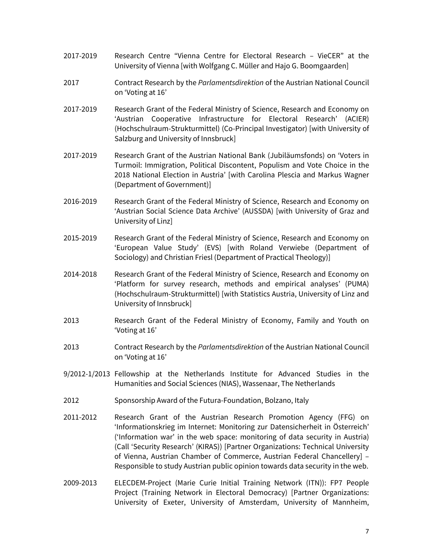- 2017-2019 Research Centre "Vienna Centre for Electoral Research VieCER" at the University of Vienna [with Wolfgang C. Müller and Hajo G. Boomgaarden]
- 2017 Contract Research by the *Parlamentsdirektion* of the Austrian National Council on 'Voting at 16'
- 2017-2019 Research Grant of the Federal Ministry of Science, Research and Economy on 'Austrian Cooperative Infrastructure for Electoral Research' (ACIER) (Hochschulraum-Strukturmittel) (Co-Principal Investigator) [with University of Salzburg and University of Innsbruck]
- 2017-2019 Research Grant of the Austrian National Bank (Jubiläumsfonds) on 'Voters in Turmoil: Immigration, Political Discontent, Populism and Vote Choice in the 2018 National Election in Austria' [with Carolina Plescia and Markus Wagner (Department of Government)]
- 2016-2019 Research Grant of the Federal Ministry of Science, Research and Economy on 'Austrian Social Science Data Archive' (AUSSDA) [with University of Graz and University of Linz]
- 2015-2019 Research Grant of the Federal Ministry of Science, Research and Economy on 'European Value Study' (EVS) [with Roland Verwiebe (Department of Sociology) and Christian Friesl (Department of Practical Theology)]
- 2014-2018 Research Grant of the Federal Ministry of Science, Research and Economy on 'Platform for survey research, methods and empirical analyses' (PUMA) (Hochschulraum-Strukturmittel) [with Statistics Austria, University of Linz and University of Innsbruck]
- 2013 Research Grant of the Federal Ministry of Economy, Family and Youth on 'Voting at 16'
- 2013 Contract Research by the *Parlamentsdirektion* of the Austrian National Council on 'Voting at 16'
- 9/2012-1/2013 Fellowship at the Netherlands Institute for Advanced Studies in the Humanities and Social Sciences (NIAS), Wassenaar, The Netherlands
- 2012 Sponsorship Award of the Futura-Foundation, Bolzano, Italy
- 2011-2012 Research Grant of the Austrian Research Promotion Agency (FFG) on 'Informationskrieg im Internet: Monitoring zur Datensicherheit in Österreich' ('Information war' in the web space: monitoring of data security in Austria) (Call 'Security Research' (KIRAS)) [Partner Organizations: Technical University of Vienna, Austrian Chamber of Commerce, Austrian Federal Chancellery] – Responsible to study Austrian public opinion towards data security in the web.
- 2009-2013 ELECDEM-Project (Marie Curie Initial Training Network (ITN)): FP7 People Project (Training Network in Electoral Democracy) [Partner Organizations: University of Exeter, University of Amsterdam, University of Mannheim,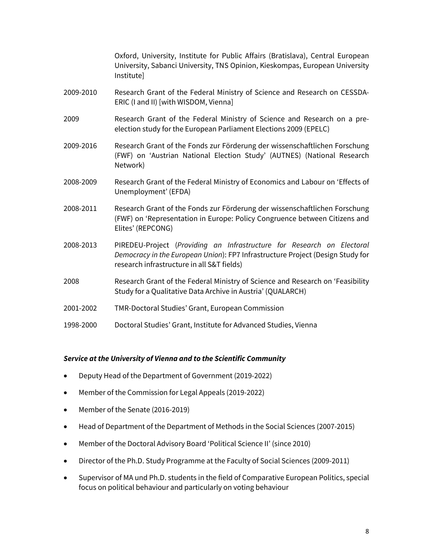Oxford, University, Institute for Public Affairs (Bratislava), Central European University, Sabanci University, TNS Opinion, Kieskompas, European University Institute]

- 2009-2010 Research Grant of the Federal Ministry of Science and Research on CESSDA-ERIC (I and II) [with WISDOM, Vienna]
- 2009 Research Grant of the Federal Ministry of Science and Research on a preelection study for the European Parliament Elections 2009 (EPELC)
- 2009-2016 Research Grant of the Fonds zur Förderung der wissenschaftlichen Forschung (FWF) on 'Austrian National Election Study' (AUTNES) (National Research Network)
- 2008-2009 Research Grant of the Federal Ministry of Economics and Labour on 'Effects of Unemployment' (EFDA)
- 2008-2011 Research Grant of the Fonds zur Förderung der wissenschaftlichen Forschung (FWF) on 'Representation in Europe: Policy Congruence between Citizens and Elites' (REPCONG)
- 2008-2013 PIREDEU-Project (*Providing an Infrastructure for Research on Electoral Democracy in the European Union*): FP7 Infrastructure Project (Design Study for research infrastructure in all S&T fields)
- 2008 Research Grant of the Federal Ministry of Science and Research on 'Feasibility Study for a Qualitative Data Archive in Austria' (QUALARCH)
- 2001-2002 TMR-Doctoral Studies' Grant, European Commission
- 1998-2000 Doctoral Studies' Grant, Institute for Advanced Studies, Vienna

#### *Service at the University of Vienna and to the Scientific Community*

- Deputy Head of the Department of Government (2019-2022)
- Member of the Commission for Legal Appeals (2019-2022)
- Member of the Senate (2016-2019)
- Head of Department of the Department of Methods in the Social Sciences (2007-2015)
- Member of the Doctoral Advisory Board 'Political Science II' (since 2010)
- Director of the Ph.D. Study Programme at the Faculty of Social Sciences (2009-2011)
- Supervisor of MA und Ph.D. students in the field of Comparative European Politics, special focus on political behaviour and particularly on voting behaviour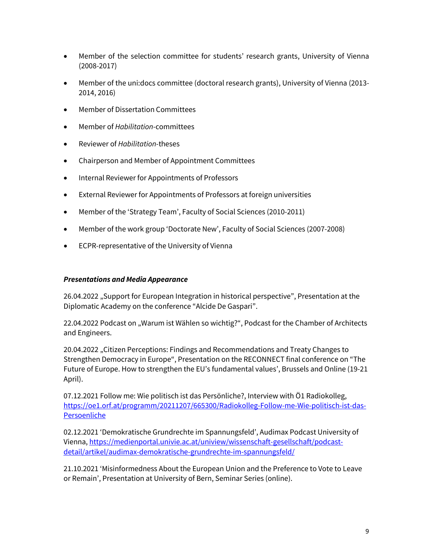- Member of the selection committee for students' research grants, University of Vienna (2008-2017)
- Member of the uni:docs committee (doctoral research grants), University of Vienna (2013- 2014, 2016)
- Member of Dissertation Committees
- Member of *Habilitation*-committees
- Reviewer of *Habilitation*-theses
- Chairperson and Member of Appointment Committees
- Internal Reviewer for Appointments of Professors
- External Reviewer for Appointments of Professors at foreign universities
- Member of the 'Strategy Team', Faculty of Social Sciences (2010-2011)
- Member of the work group 'Doctorate New', Faculty of Social Sciences (2007-2008)
- ECPR-representative of the University of Vienna

#### *Presentations and Media Appearance*

26.04.2022 "Support for European Integration in historical perspective", Presentation at the Diplomatic Academy on the conference "Alcide De Gaspari".

22.04.2022 Podcast on "Warum ist Wählen so wichtig?", Podcast for the Chamber of Architects and Engineers.

20.04.2022 "Citizen Perceptions: Findings and Recommendations and Treaty Changes to Strengthen Democracy in Europe", Presentation on the RECONNECT final conference on "The Future of Europe. How to strengthen the EU's fundamental values', Brussels and Online (19-21 April).

07.12.2021 Follow me: Wie politisch ist das Persönliche?, Interview with Ö1 Radiokolleg, [https://oe1.orf.at/programm/20211207/665300/Radiokolleg-Follow-me-Wie-politisch-ist-das-](https://oe1.orf.at/programm/20211207/665300/Radiokolleg-Follow-me-Wie-politisch-ist-das-Persoenliche)[Persoenliche](https://oe1.orf.at/programm/20211207/665300/Radiokolleg-Follow-me-Wie-politisch-ist-das-Persoenliche)

02.12.2021 'Demokratische Grundrechte im Spannungsfeld', Audimax Podcast University of Vienna[, https://medienportal.univie.ac.at/uniview/wissenschaft-gesellschaft/podcast](https://medienportal.univie.ac.at/uniview/wissenschaft-gesellschaft/podcast-detail/artikel/audimax-demokratische-grundrechte-im-spannungsfeld/)[detail/artikel/audimax-demokratische-grundrechte-im-spannungsfeld/](https://medienportal.univie.ac.at/uniview/wissenschaft-gesellschaft/podcast-detail/artikel/audimax-demokratische-grundrechte-im-spannungsfeld/)

21.10.2021 'Misinformedness About the European Union and the Preference to Vote to Leave or Remain', Presentation at University of Bern, Seminar Series (online).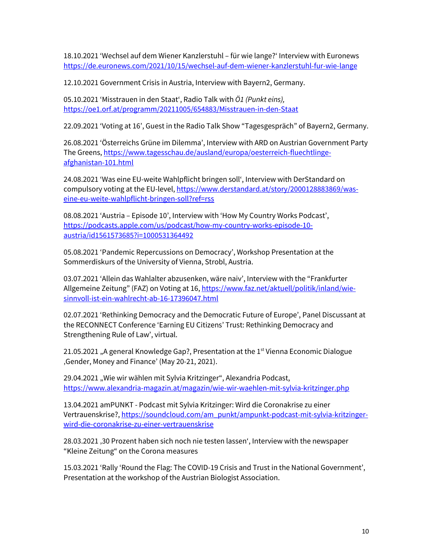18.10.2021 'Wechsel auf dem Wiener Kanzlerstuhl – für wie lange?' Interview with Euronews <https://de.euronews.com/2021/10/15/wechsel-auf-dem-wiener-kanzlerstuhl-fur-wie-lange>

12.10.2021 Government Crisis in Austria, Interview with Bayern2, Germany.

05.10.2021 'Misstrauen in den Staat', Radio Talk with *Ö1 (Punkt eins),*  <https://oe1.orf.at/programm/20211005/654883/Misstrauen-in-den-Staat>

22.09.2021 'Voting at 16', Guest in the Radio Talk Show "Tagesgespräch" of Bayern2, Germany.

26.08.2021 'Österreichs Grüne im Dilemma', Interview with ARD on Austrian Government Party The Greens[, https://www.tagesschau.de/ausland/europa/oesterreich-fluechtlinge](https://www.tagesschau.de/ausland/europa/oesterreich-fluechtlinge-afghanistan-101.html)[afghanistan-101.html](https://www.tagesschau.de/ausland/europa/oesterreich-fluechtlinge-afghanistan-101.html)

24.08.2021 'Was eine EU-weite Wahlpflicht bringen soll', Interview with DerStandard on compulsory voting at the EU-level[, https://www.derstandard.at/story/2000128883869/was](https://www.derstandard.at/story/2000128883869/was-eine-eu-weite-wahlpflicht-bringen-soll?ref=rss)[eine-eu-weite-wahlpflicht-bringen-soll?ref=rss](https://www.derstandard.at/story/2000128883869/was-eine-eu-weite-wahlpflicht-bringen-soll?ref=rss)

08.08.2021 'Austria – Episode 10', Interview with 'How My Country Works Podcast', [https://podcasts.apple.com/us/podcast/how-my-country-works-episode-10](https://podcasts.apple.com/us/podcast/how-my-country-works-episode-10-austria/id1561573685?i=1000531364492) [austria/id1561573685?i=1000531364492](https://podcasts.apple.com/us/podcast/how-my-country-works-episode-10-austria/id1561573685?i=1000531364492) 

05.08.2021 'Pandemic Repercussions on Democracy', Workshop Presentation at the Sommerdiskurs of the University of Vienna, Strobl, Austria.

03.07.2021 'Allein das Wahlalter abzusenken, wäre naiv', Interview with the "Frankfurter Allgemeine Zeitung" (FAZ) on Voting at 16[, https://www.faz.net/aktuell/politik/inland/wie](https://www.faz.net/aktuell/politik/inland/wie-sinnvoll-ist-ein-wahlrecht-ab-16-17396047.html)[sinnvoll-ist-ein-wahlrecht-ab-16-17396047.html](https://www.faz.net/aktuell/politik/inland/wie-sinnvoll-ist-ein-wahlrecht-ab-16-17396047.html)

02.07.2021 'Rethinking Democracy and the Democratic Future of Europe', Panel Discussant at the RECONNECT Conference 'Earning EU Citizens' Trust: Rethinking Democracy and Strengthening Rule of Law', virtual.

21.05.2021 "A general Knowledge Gap?, Presentation at the 1<sup>st</sup> Vienna Economic Dialogue 'Gender, Money and Finance' (May 20-21, 2021).

29.04.2021 "Wie wir wählen mit Sylvia Kritzinger", Alexandria Podcast, <https://www.alexandria-magazin.at/magazin/wie-wir-waehlen-mit-sylvia-kritzinger.php>

13.04.2021 amPUNKT - Podcast mit Sylvia Kritzinger: Wird die Coronakrise zu einer Vertrauenskrise?, [https://soundcloud.com/am\\_punkt/ampunkt-podcast-mit-sylvia-kritzinger](https://soundcloud.com/am_punkt/ampunkt-podcast-mit-sylvia-kritzinger-wird-die-coronakrise-zu-einer-vertrauenskrise)[wird-die-coronakrise-zu-einer-vertrauenskrise](https://soundcloud.com/am_punkt/ampunkt-podcast-mit-sylvia-kritzinger-wird-die-coronakrise-zu-einer-vertrauenskrise)

28.03.2021 '30 Prozent haben sich noch nie testen lassen', Interview with the newspaper "Kleine Zeitung" on the Corona measures

15.03.2021 'Rally 'Round the Flag: The COVID-19 Crisis and Trust in the National Government', Presentation at the workshop of the Austrian Biologist Association.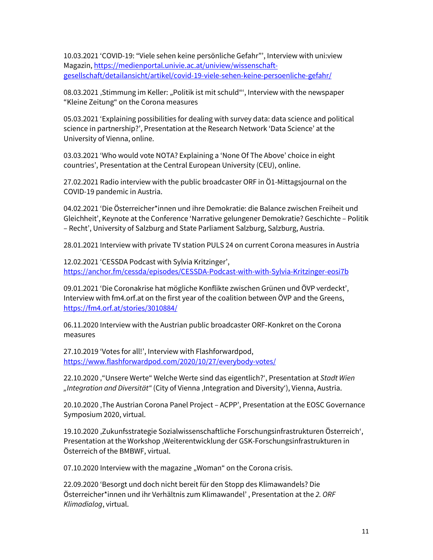10.03.2021 'COVID-19: "Viele sehen keine persönliche Gefahr"', Interview with uni:view Magazin, [https://medienportal.univie.ac.at/uniview/wissenschaft](https://medienportal.univie.ac.at/uniview/wissenschaft-gesellschaft/detailansicht/artikel/covid-19-viele-sehen-keine-persoenliche-gefahr/)[gesellschaft/detailansicht/artikel/covid-19-viele-sehen-keine-persoenliche-gefahr/](https://medienportal.univie.ac.at/uniview/wissenschaft-gesellschaft/detailansicht/artikel/covid-19-viele-sehen-keine-persoenliche-gefahr/) 

08.03.2021, Stimmung im Keller: "Politik ist mit schuld"', Interview with the newspaper "Kleine Zeitung" on the Corona measures

05.03.2021 'Explaining possibilities for dealing with survey data: data science and political science in partnership?', Presentation at the Research Network 'Data Science' at the University of Vienna, online.

03.03.2021 'Who would vote NOTA? Explaining a 'None Of The Above' choice in eight countries', Presentation at the Central European University (CEU), online.

27.02.2021 Radio interview with the public broadcaster ORF in Ö1-Mittagsjournal on the COVID-19 pandemic in Austria.

04.02.2021 'Die Österreicher\*innen und ihre Demokratie: die Balance zwischen Freiheit und Gleichheit', Keynote at the Conference 'Narrative gelungener Demokratie? Geschichte – Politik – Recht', University of Salzburg and State Parliament Salzburg, Salzburg, Austria.

28.01.2021 Interview with private TV station PULS 24 on current Corona measures in Austria

12.02.2021 'CESSDA Podcast with Sylvia Kritzinger', <https://anchor.fm/cessda/episodes/CESSDA-Podcast-with-with-Sylvia-Kritzinger-eosi7b>

09.01.2021 'Die Coronakrise hat mögliche Konflikte zwischen Grünen und ÖVP verdeckt', Interview with fm4.orf.at on the first year of the coalition between ÖVP and the Greens, <https://fm4.orf.at/stories/3010884/>

06.11.2020 Interview with the Austrian public broadcaster ORF-Konkret on the Corona measures

27.10.2019 'Votes for all!', Interview with Flashforwardpod, <https://www.flashforwardpod.com/2020/10/27/everybody-votes/>

22.10.2020 '"Unsere Werte" Welche Werte sind das eigentlich?', Presentation at *Stadt Wien "Integration and Diversität"* (City of Vienna 'Integration and Diversity'), Vienna, Austria.

20.10.2020 , The Austrian Corona Panel Project - ACPP', Presentation at the EOSC Governance Symposium 2020, virtual.

19.10.2020 , Zukunfsstrategie Sozialwissenschaftliche Forschungsinfrastrukturen Österreich', Presentation at the Workshop 'Weiterentwicklung der GSK-Forschungsinfrastrukturen in Österreich of the BMBWF, virtual.

07.10.2020 Interview with the magazine "Woman" on the Corona crisis.

22.09.2020 'Besorgt und doch nicht bereit für den Stopp des Klimawandels? Die Österreicher\*innen und ihr Verhältnis zum Klimawandel' , Presentation at the *2. ORF Klimadialog*, virtual.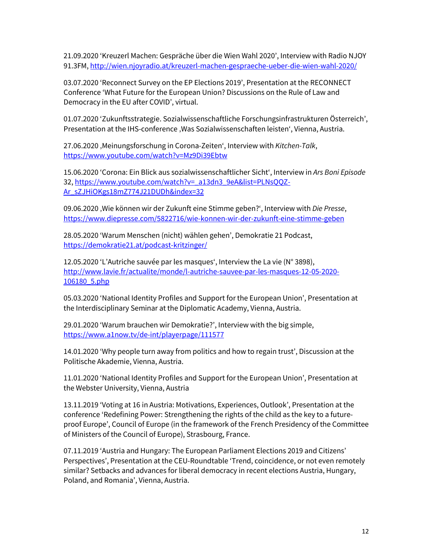21.09.2020 'Kreuzerl Machen: Gespräche über die Wien Wahl 2020', Interview with Radio NJOY 91.3FM[, http://wien.njoyradio.at/kreuzerl-machen-gespraeche-ueber-die-wien-wahl-2020/](http://wien.njoyradio.at/kreuzerl-machen-gespraeche-ueber-die-wien-wahl-2020/)

03.07.2020 'Reconnect Survey on the EP Elections 2019', Presentation at the RECONNECT Conference 'What Future for the European Union? Discussions on the Rule of Law and Democracy in the EU after COVID', virtual.

01.07.2020 'Zukunftsstrategie. Sozialwissenschaftliche Forschungsinfrastrukturen Österreich', Presentation at the IHS-conference 'Was Sozialwissenschaften leisten', Vienna, Austria.

27.06.2020 'Meinungsforschung in Corona-Zeiten', Interview with *Kitchen-Talk*, <https://www.youtube.com/watch?v=Mz9Di39Ebtw>

15.06.2020 'Corona: Ein Blick aus sozialwissenschaftlicher Sicht', Interview in *Ars Boni Episode* 32, [https://www.youtube.com/watch?v=\\_a13dn3\\_9eA&list=PLNsQQZ-](https://www.youtube.com/watch?v=_a13dn3_9eA&list=PLNsQQZ-Ar_sZJHiOKgs18mZ774J21DUDh&index=32)[Ar\\_sZJHiOKgs18mZ774J21DUDh&index=32](https://www.youtube.com/watch?v=_a13dn3_9eA&list=PLNsQQZ-Ar_sZJHiOKgs18mZ774J21DUDh&index=32)

09.06.2020 'Wie können wir der Zukunft eine Stimme geben?', Interview with *Die Presse*, <https://www.diepresse.com/5822716/wie-konnen-wir-der-zukunft-eine-stimme-geben>

28.05.2020 'Warum Menschen (nicht) wählen gehen', Demokratie 21 Podcast, <https://demokratie21.at/podcast-kritzinger/>

12.05.2020 'L'Autriche sauvée par les masques', Interview the La vie (N° 3898), [http://www.lavie.fr/actualite/monde/l-autriche-sauvee-par-les-masques-12-05-2020-](http://www.lavie.fr/actualite/monde/l-autriche-sauvee-par-les-masques-12-05-2020-106180_5.php) [106180\\_5.php](http://www.lavie.fr/actualite/monde/l-autriche-sauvee-par-les-masques-12-05-2020-106180_5.php)

05.03.2020 'National Identity Profiles and Support for the European Union', Presentation at the Interdisciplinary Seminar at the Diplomatic Academy, Vienna, Austria.

29.01.2020 'Warum brauchen wir Demokratie?', Interview with the big simple, <https://www.a1now.tv/de-int/playerpage/111577>

14.01.2020 'Why people turn away from politics and how to regain trust', Discussion at the Politische Akademie, Vienna, Austria.

11.01.2020 'National Identity Profiles and Support for the European Union', Presentation at the Webster University, Vienna, Austria

13.11.2019 'Voting at 16 in Austria: Motivations, Experiences, Outlook', Presentation at the conference 'Redefining Power: Strengthening the rights of the child as the key to a futureproof Europe', Council of Europe (in the framework of the French Presidency of the Committee of Ministers of the Council of Europe), Strasbourg, France.

07.11.2019 'Austria and Hungary: The European Parliament Elections 2019 and Citizens' Perspectives', Presentation at the CEU-Roundtable 'Trend, coincidence, or not even remotely similar? Setbacks and advances for liberal democracy in recent elections Austria, Hungary, Poland, and Romania', Vienna, Austria.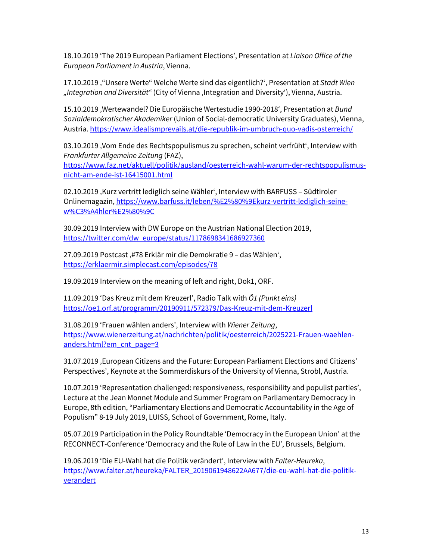18.10.2019 'The 2019 European Parliament Elections', Presentation at *Liaison Office of the European Parliament in Austria*, Vienna.

17.10.2019 '"Unsere Werte" Welche Werte sind das eigentlich?', Presentation at *Stadt Wien "Integration and Diversität"* (City of Vienna 'Integration and Diversity'), Vienna, Austria.

15.10.2019 'Wertewandel? Die Europäische Wertestudie 1990-2018', Presentation at *Bund Sozialdemokratischer Akademiker* (Union of Social-democratic University Graduates), Vienna, Austria. <https://www.idealismprevails.at/die-republik-im-umbruch-quo-vadis-osterreich/>

03.10.2019 'Vom Ende des Rechtspopulismus zu sprechen, scheint verfrüht', Interview with *Frankfurter Allgemeine Zeitung* (FAZ), [https://www.faz.net/aktuell/politik/ausland/oesterreich-wahl-warum-der-rechtspopulismus](https://www.faz.net/aktuell/politik/ausland/oesterreich-wahl-warum-der-rechtspopulismus-nicht-am-ende-ist-16415001.html)[nicht-am-ende-ist-16415001.html](https://www.faz.net/aktuell/politik/ausland/oesterreich-wahl-warum-der-rechtspopulismus-nicht-am-ende-ist-16415001.html)

02.10.2019, Kurz vertritt lediglich seine Wähler', Interview with BARFUSS - Südtiroler Onlinemagazin[, https://www.barfuss.it/leben/%E2%80%9Ekurz-vertritt-lediglich-seine](https://www.barfuss.it/leben/%E2%80%9Ekurz-vertritt-lediglich-seine-w%C3%A4hler%E2%80%9C)[w%C3%A4hler%E2%80%9C](https://www.barfuss.it/leben/%E2%80%9Ekurz-vertritt-lediglich-seine-w%C3%A4hler%E2%80%9C)

30.09.2019 Interview with DW Europe on the Austrian National Election 2019, [https://twitter.com/dw\\_europe/status/1178698341686927360](https://twitter.com/dw_europe/status/1178698341686927360)

27.09.2019 Postcast '#78 Erklär mir die Demokratie 9 – das Wählen', <https://erklaermir.simplecast.com/episodes/78>

19.09.2019 Interview on the meaning of left and right, Dok1, ORF.

11.09.2019 'Das Kreuz mit dem Kreuzerl', Radio Talk with *Ö1 (Punkt eins)* <https://oe1.orf.at/programm/20190911/572379/Das-Kreuz-mit-dem-Kreuzerl>

31.08.2019 'Frauen wählen anders', Interview with *Wiener Zeitung*, [https://www.wienerzeitung.at/nachrichten/politik/oesterreich/2025221-Frauen-waehlen](https://www.wienerzeitung.at/nachrichten/politik/oesterreich/2025221-Frauen-waehlen-anders.html?em_cnt_page=3)[anders.html?em\\_cnt\\_page=3](https://www.wienerzeitung.at/nachrichten/politik/oesterreich/2025221-Frauen-waehlen-anders.html?em_cnt_page=3)

31.07.2019 , European Citizens and the Future: European Parliament Elections and Citizens' Perspectives', Keynote at the Sommerdiskurs of the University of Vienna, Strobl, Austria.

10.07.2019 'Representation challenged: responsiveness, responsibility and populist parties', Lecture at the Jean Monnet Module and Summer Program on Parliamentary Democracy in Europe, 8th edition, "Parliamentary Elections and Democratic Accountability in the Age of Populism" 8-19 July 2019, LUISS, School of Government, Rome, Italy.

05.07.2019 Participation in the Policy Roundtable 'Democracy in the European Union' at the RECONNECT-Conference 'Democracy and the Rule of Law in the EU', Brussels, Belgium.

19.06.2019 'Die EU-Wahl hat die Politik verändert', Interview with *Falter-Heureka*, [https://www.falter.at/heureka/FALTER\\_2019061948622AA677/die-eu-wahl-hat-die-politik](https://www.falter.at/heureka/FALTER_2019061948622AA677/die-eu-wahl-hat-die-politik-verandert)[verandert](https://www.falter.at/heureka/FALTER_2019061948622AA677/die-eu-wahl-hat-die-politik-verandert)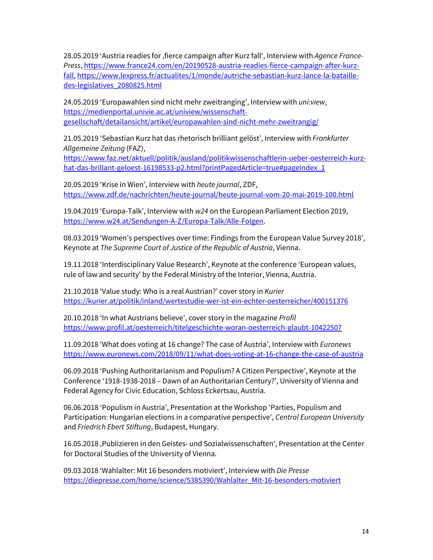28.05.2019 'Austria readies for 'fierce campaign after Kurz fall', Interview with *Agence France-Press*, [https://www.france24.com/en/20190528-austria-readies-fierce-campaign-after-kurz](https://www.france24.com/en/20190528-austria-readies-fierce-campaign-after-kurz-fall)[fall,](https://www.france24.com/en/20190528-austria-readies-fierce-campaign-after-kurz-fall) [https://www.lexpress.fr/actualites/1/monde/autriche-sebastian-kurz-lance-la-bataille](https://www.lexpress.fr/actualites/1/monde/autriche-sebastian-kurz-lance-la-bataille-des-legislatives_2080825.html)[des-legislatives\\_2080825.html](https://www.lexpress.fr/actualites/1/monde/autriche-sebastian-kurz-lance-la-bataille-des-legislatives_2080825.html)

24.05.2019 'Europawahlen sind nicht mehr zweitranging', Interview with *uni:view*, [https://medienportal.univie.ac.at/uniview/wissenschaft](https://medienportal.univie.ac.at/uniview/wissenschaft-gesellschaft/detailansicht/artikel/europawahlen-sind-nicht-mehr-zweitrangig/)[gesellschaft/detailansicht/artikel/europawahlen-sind-nicht-mehr-zweitrangig/](https://medienportal.univie.ac.at/uniview/wissenschaft-gesellschaft/detailansicht/artikel/europawahlen-sind-nicht-mehr-zweitrangig/)

21.05.2019 'Sebastian Kurz hat das rhetorisch brilliant gelöst', Interview with *Frankfurter Allgemeine Zeitung* (FAZ),

[https://www.faz.net/aktuell/politik/ausland/politikwissenschaftlerin-ueber-oesterreich-kurz](https://www.faz.net/aktuell/politik/ausland/politikwissenschaftlerin-ueber-oesterreich-kurz-hat-das-brillant-geloest-16198533-p2.html?printPagedArticle=true#pageIndex_1)[hat-das-brillant-geloest-16198533-p2.html?printPagedArticle=true#pageIndex\\_1](https://www.faz.net/aktuell/politik/ausland/politikwissenschaftlerin-ueber-oesterreich-kurz-hat-das-brillant-geloest-16198533-p2.html?printPagedArticle=true#pageIndex_1)

20.05.2019 'Krise in Wien', Interview with *heute journal*, ZDF, <https://www.zdf.de/nachrichten/heute-journal/heute-journal-vom-20-mai-2019-100.html>

19.04.2019 'Europa-Talk', Interview with *w24* on the European Parliament Election 2019, [https://www.w24.at/Sendungen-A-Z/Europa-Talk/Alle-Folgen.](https://www.w24.at/Sendungen-A-Z/Europa-Talk/Alle-Folgen)

08.03.2019 'Women's perspectives over time: Findings from the European Value Survey 2018', Keynote at *The Supreme Court of Justice of the Republic of Austria*, Vienna.

19.11.2018 'Interdisciplinary Value Research', Keynote at the conference 'European values, rule of law and security' by the Federal Ministry of the Interior, Vienna, Austria.

21.10.2018 'Value study: Who is a real Austrian?' cover story in *Kurier* <https://kurier.at/politik/inland/wertestudie-wer-ist-ein-echter-oesterreicher/400151376>

20.10.2018 'In what Austrians believe', cover story in the magazine *Profil* <https://www.profil.at/oesterreich/titelgeschichte-woran-oesterreich-glaubt-10422507>

11.09.2018 'What does voting at 16 change? The case of Austria', Interview with *Euronews* <https://www.euronews.com/2018/09/11/what-does-voting-at-16-change-the-case-of-austria>

06.09.2018 'Pushing Authoritarianism and Populism? A Citizen Perspective', Keynote at the Conference '1918-1938-2018 – Dawn of an Authoritarian Century?', University of Vienna and Federal Agency for Civic Education, Schloss Eckertsau, Austria.

06.06.2018 'Populism in Austria', Presentation at the Workshop 'Parties, Populism and Participation: Hungarian elections in a comparative perspective', *Central European University* and *Friedrich Ebert Stiftung*, Budapest, Hungary.

16.05.2018 , Publizieren in den Geistes- und Sozialwissenschaften', Presentation at the Center for Doctoral Studies of the University of Vienna.

09.03.2018 'Wahlalter: Mit 16 besonders motiviert', Interview with *Die Presse* [https://diepresse.com/home/science/5385390/Wahlalter\\_Mit-16-besonders-motiviert](https://diepresse.com/home/science/5385390/Wahlalter_Mit-16-besonders-motiviert)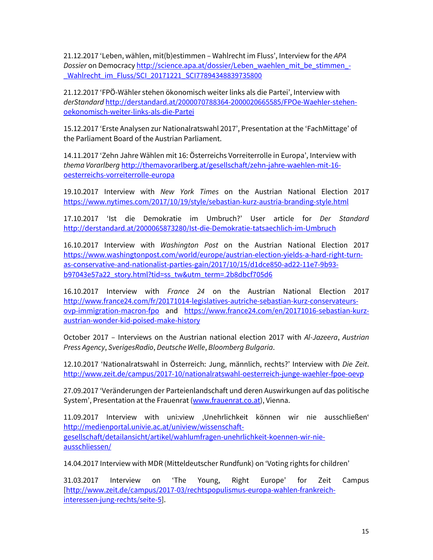21.12.2017 'Leben, wählen, mit(b)estimmen – Wahlrecht im Fluss', Interview for the *APA Dossier* on Democrac[y http://science.apa.at/dossier/Leben\\_waehlen\\_mit\\_be\\_stimmen\\_-](http://science.apa.at/dossier/Leben_waehlen_mit_be_stimmen_-_Wahlrecht_im_Fluss/SCI_20171221_SCI77894348839735800) [\\_Wahlrecht\\_im\\_Fluss/SCI\\_20171221\\_SCI77894348839735800](http://science.apa.at/dossier/Leben_waehlen_mit_be_stimmen_-_Wahlrecht_im_Fluss/SCI_20171221_SCI77894348839735800)

21.12.2017 'FPÖ-Wähler stehen ökonomisch weiter links als die Partei', Interview with *derStandard* [http://derstandard.at/2000070788364-2000020665585/FPOe-Waehler-stehen](http://derstandard.at/2000070788364-2000020665585/FPOe-Waehler-stehen-oekonomisch-weiter-links-als-die-Partei)[oekonomisch-weiter-links-als-die-Partei](http://derstandard.at/2000070788364-2000020665585/FPOe-Waehler-stehen-oekonomisch-weiter-links-als-die-Partei)

15.12.2017 'Erste Analysen zur Nationalratswahl 2017', Presentation at the 'FachMittage' of the Parliament Board of the Austrian Parliament.

14.11.2017 'Zehn Jahre Wählen mit 16: Österreichs Vorreiterrolle in Europa', Interview with *thema Vorarlberg* [http://themavorarlberg.at/gesellschaft/zehn-jahre-waehlen-mit-16](http://themavorarlberg.at/gesellschaft/zehn-jahre-waehlen-mit-16-oesterreichs-vorreiterrolle-europa) [oesterreichs-vorreiterrolle-europa](http://themavorarlberg.at/gesellschaft/zehn-jahre-waehlen-mit-16-oesterreichs-vorreiterrolle-europa)

19.10.2017 Interview with *New York Times* on the Austrian National Election 2017 <https://www.nytimes.com/2017/10/19/style/sebastian-kurz-austria-branding-style.html>

17.10.2017 'Ist die Demokratie im Umbruch?' User article for *Der Standard* <http://derstandard.at/2000065873280/Ist-die-Demokratie-tatsaechlich-im-Umbruch>

16.10.2017 Interview with *Washington Post* on the Austrian National Election 2017 [https://www.washingtonpost.com/world/europe/austrian-election-yields-a-hard-right-turn](https://www.washingtonpost.com/world/europe/austrian-election-yields-a-hard-right-turn-as-conservative-and-nationalist-parties-gain/2017/10/15/d1dce850-ad22-11e7-9b93-b97043e57a22_story.html?tid=ss_tw&utm_term=.2b8dbcf705d6)[as-conservative-and-nationalist-parties-gain/2017/10/15/d1dce850-ad22-11e7-9b93](https://www.washingtonpost.com/world/europe/austrian-election-yields-a-hard-right-turn-as-conservative-and-nationalist-parties-gain/2017/10/15/d1dce850-ad22-11e7-9b93-b97043e57a22_story.html?tid=ss_tw&utm_term=.2b8dbcf705d6) [b97043e57a22\\_story.html?tid=ss\\_tw&utm\\_term=.2b8dbcf705d6](https://www.washingtonpost.com/world/europe/austrian-election-yields-a-hard-right-turn-as-conservative-and-nationalist-parties-gain/2017/10/15/d1dce850-ad22-11e7-9b93-b97043e57a22_story.html?tid=ss_tw&utm_term=.2b8dbcf705d6)

16.10.2017 Interview with *France 24* on the Austrian National Election 2017 [http://www.france24.com/fr/20171014-legislatives-autriche-sebastian-kurz-conservateurs](http://www.france24.com/fr/20171014-legislatives-autriche-sebastian-kurz-conservateurs-ovp-immigration-macron-fpo)[ovp-immigration-macron-fpo](http://www.france24.com/fr/20171014-legislatives-autriche-sebastian-kurz-conservateurs-ovp-immigration-macron-fpo) and [https://www.france24.com/en/20171016-sebastian-kurz](https://www.france24.com/en/20171016-sebastian-kurz-austrian-wonder-kid-poised-make-history)[austrian-wonder-kid-poised-make-history](https://www.france24.com/en/20171016-sebastian-kurz-austrian-wonder-kid-poised-make-history)

October 2017 – Interviews on the Austrian national election 2017 with *Al-Jazeera*, *Austrian Press Agency*, *SverigesRadio*, *Deutsche Welle*, *Bloomberg Bulgaria*.

12.10.2017 'Nationalratswahl in Österreich: Jung, männlich, rechts?' Interview with *Die Zeit*. <http://www.zeit.de/campus/2017-10/nationalratswahl-oesterreich-junge-waehler-fpoe-oevp>

27.09.2017 'Veränderungen der Parteienlandschaft und deren Auswirkungen auf das politische System', Presentation at the Frauenrat [\(www.frauenrat.co.at\)](http://www.frauenrat.co.at/), Vienna.

11.09.2017 Interview with uni:view 'Unehrlichkeit können wir nie ausschließen' [http://medienportal.univie.ac.at/uniview/wissenschaft](http://medienportal.univie.ac.at/uniview/wissenschaft-gesellschaft/detailansicht/artikel/wahlumfragen-unehrlichkeit-koennen-wir-nie-ausschliessen/)[gesellschaft/detailansicht/artikel/wahlumfragen-unehrlichkeit-koennen-wir-nie](http://medienportal.univie.ac.at/uniview/wissenschaft-gesellschaft/detailansicht/artikel/wahlumfragen-unehrlichkeit-koennen-wir-nie-ausschliessen/)[ausschliessen/](http://medienportal.univie.ac.at/uniview/wissenschaft-gesellschaft/detailansicht/artikel/wahlumfragen-unehrlichkeit-koennen-wir-nie-ausschliessen/)

14.04.2017 Interview with MDR (Mitteldeutscher Rundfunk) on 'Voting rights for children'

31.03.2017 Interview on 'The Young, Right Europe' for Zeit Campus [\[http://www.zeit.de/campus/2017-03/rechtspopulismus-europa-wahlen-frankreich](http://www.zeit.de/campus/2017-03/rechtspopulismus-europa-wahlen-frankreich-interessen-jung-rechts/seite-5)[interessen-jung-rechts/seite-5\]](http://www.zeit.de/campus/2017-03/rechtspopulismus-europa-wahlen-frankreich-interessen-jung-rechts/seite-5).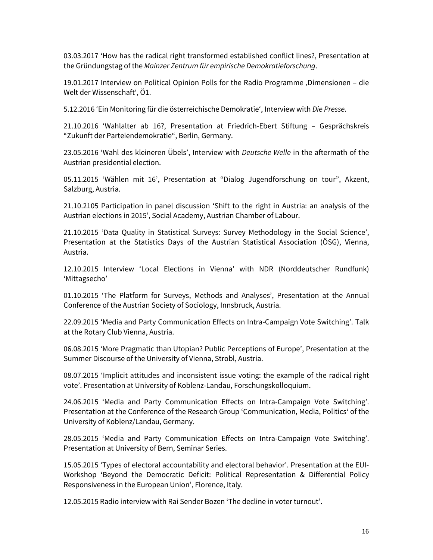03.03.2017 'How has the radical right transformed established conflict lines?, Presentation at the Gründungstag of the *Mainzer Zentrum für empirische Demokratieforschung*.

19.01.2017 Interview on Political Opinion Polls for the Radio Programme ,Dimensionen - die Welt der Wissenschaft', Ö1.

5.12.2016 'Ein Monitoring für die österreichische Demokratie', Interview with *Die Presse*.

21.10.2016 'Wahlalter ab 16?, Presentation at Friedrich-Ebert Stiftung – Gesprächskreis "Zukunft der Parteiendemokratie", Berlin, Germany.

23.05.2016 'Wahl des kleineren Übels', Interview with *Deutsche Welle* in the aftermath of the Austrian presidential election.

05.11.2015 'Wählen mit 16', Presentation at "Dialog Jugendforschung on tour", Akzent, Salzburg, Austria.

21.10.2105 Participation in panel discussion 'Shift to the right in Austria: an analysis of the Austrian elections in 2015', Social Academy, Austrian Chamber of Labour.

21.10.2015 'Data Quality in Statistical Surveys: Survey Methodology in the Social Science', Presentation at the Statistics Days of the Austrian Statistical Association (ÖSG), Vienna, Austria.

12.10.2015 Interview 'Local Elections in Vienna' with NDR (Norddeutscher Rundfunk) 'Mittagsecho'

01.10.2015 'The Platform for Surveys, Methods and Analyses', Presentation at the Annual Conference of the Austrian Society of Sociology, Innsbruck, Austria.

22.09.2015 'Media and Party Communication Effects on Intra-Campaign Vote Switching'. Talk at the Rotary Club Vienna, Austria.

06.08.2015 'More Pragmatic than Utopian? Public Perceptions of Europe', Presentation at the Summer Discourse of the University of Vienna, Strobl, Austria.

08.07.2015 'Implicit attitudes and inconsistent issue voting: the example of the radical right vote'. Presentation at University of Koblenz-Landau, Forschungskolloquium.

24.06.2015 'Media and Party Communication Effects on Intra-Campaign Vote Switching'. Presentation at the Conference of the Research Group 'Communication, Media, Politics' of the University of Koblenz/Landau, Germany.

28.05.2015 'Media and Party Communication Effects on Intra-Campaign Vote Switching'. Presentation at University of Bern, Seminar Series.

15.05.2015 'Types of electoral accountability and electoral behavior'. Presentation at the EUI-Workshop 'Beyond the Democratic Deficit: Political Representation & Differential Policy Responsiveness in the European Union', Florence, Italy.

12.05.2015 Radio interview with Rai Sender Bozen 'The decline in voter turnout'.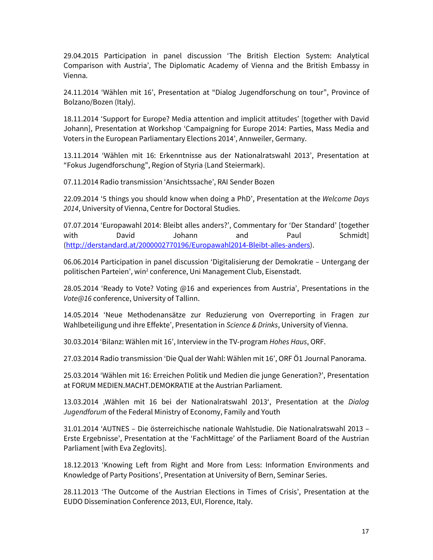29.04.2015 Participation in panel discussion 'The British Election System: Analytical Comparison with Austria', The Diplomatic Academy of Vienna and the British Embassy in Vienna.

24.11.2014 'Wählen mit 16', Presentation at "Dialog Jugendforschung on tour", Province of Bolzano/Bozen (Italy).

18.11.2014 'Support for Europe? Media attention and implicit attitudes' [together with David Johann], Presentation at Workshop 'Campaigning for Europe 2014: Parties, Mass Media and Voters in the European Parliamentary Elections 2014', Annweiler, Germany.

13.11.2014 'Wählen mit 16: Erkenntnisse aus der Nationalratswahl 2013', Presentation at "Fokus Jugendforschung", Region of Styria (Land Steiermark).

07.11.2014 Radio transmission 'Ansichtssache', RAI Sender Bozen

22.09.2014 '5 things you should know when doing a PhD', Presentation at the *Welcome Days 2014*, University of Vienna, Centre for Doctoral Studies.

07.07.2014 'Europawahl 2014: Bleibt alles anders?', Commentary for 'Der Standard' [together with David Johann and Paul Schmidt] [\(http://derstandard.at/2000002770196/Europawahl2014-Bleibt-alles-anders\)](http://derstandard.at/2000002770196/Europawahl2014-Bleibt-alles-anders).

06.06.2014 Participation in panel discussion 'Digitalisierung der Demokratie – Untergang der politischen Parteien', win<sup>2</sup> conference, Uni Management Club, Eisenstadt.

28.05.2014 'Ready to Vote? Voting @16 and experiences from Austria', Presentations in the *Vote@16* conference, University of Tallinn.

14.05.2014 'Neue Methodenansätze zur Reduzierung von Overreporting in Fragen zur Wahlbeteiligung und ihre Effekte', Presentation in *Science & Drinks*, University of Vienna.

30.03.2014 'Bilanz: Wählen mit 16', Interview in the TV-program *Hohes Haus*, ORF.

27.03.2014 Radio transmission 'Die Qual der Wahl: Wählen mit 16', ORF Ö1 Journal Panorama.

25.03.2014 'Wählen mit 16: Erreichen Politik und Medien die junge Generation?', Presentation at FORUM MEDIEN.MACHT.DEMOKRATIE at the Austrian Parliament.

13.03.2014 'Wählen mit 16 bei der Nationalratswahl 2013', Presentation at the *Dialog Jugendforum* of the Federal Ministry of Economy, Family and Youth

31.01.2014 'AUTNES – Die österreichische nationale Wahlstudie. Die Nationalratswahl 2013 – Erste Ergebnisse', Presentation at the 'FachMittage' of the Parliament Board of the Austrian Parliament [with Eva Zeglovits].

18.12.2013 'Knowing Left from Right and More from Less: Information Environments and Knowledge of Party Positions', Presentation at University of Bern, Seminar Series.

28.11.2013 'The Outcome of the Austrian Elections in Times of Crisis', Presentation at the EUDO Dissemination Conference 2013, EUI, Florence, Italy.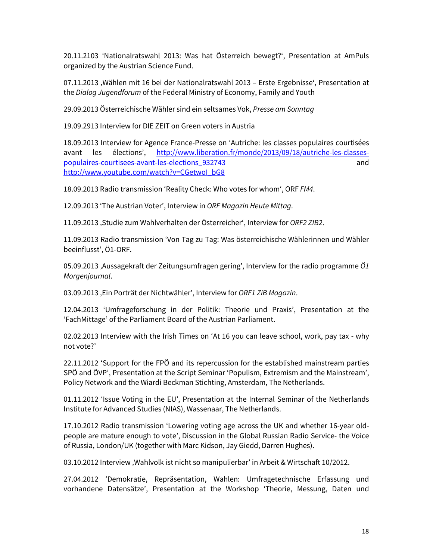20.11.2103 'Nationalratswahl 2013: Was hat Österreich bewegt?', Presentation at AmPuls organized by the Austrian Science Fund.

07.11.2013 , Wählen mit 16 bei der Nationalratswahl 2013 – Erste Ergebnisse', Presentation at the *Dialog Jugendforum* of the Federal Ministry of Economy, Family and Youth

29.09.2013 Österreichische Wähler sind ein seltsames Vok, *Presse am Sonntag*

19.09.2913 Interview for DIE ZEIT on Green voters in Austria

18.09.2013 Interview for Agence France-Presse on 'Autriche: les classes populaires courtisées avant les élections', [http://www.liberation.fr/monde/2013/09/18/autriche-les-classes](http://www.liberation.fr/monde/2013/09/18/autriche-les-classes-populaires-courtisees-avant-les-elections_932743)[populaires-courtisees-avant-les-elections\\_932743](http://www.liberation.fr/monde/2013/09/18/autriche-les-classes-populaires-courtisees-avant-les-elections_932743) and [http://www.youtube.com/watch?v=CGetwoI\\_bG8](http://www.youtube.com/watch?v=CGetwoI_bG8)

18.09.2013 Radio transmission 'Reality Check: Who votes for whom', ORF *FM4*.

12.09.2013 'The Austrian Voter', Interview in *ORF Magazin Heute Mittag*.

11.09.2013 'Studie zum Wahlverhalten der Österreicher', Interview for *ORF2 ZIB2*.

11.09.2013 Radio transmission 'Von Tag zu Tag: Was österreichische Wählerinnen und Wähler beeinflusst', Ö1-ORF.

05.09.2013 ['Aussagekraft der Zeitungsumfragen gering'](http://oe1.orf.at/artikel/350766), Interview for the radio programme *Ö1 Morgenjournal*.

03.09.2013 ['Ein Porträt der Nichtwähler'](http://tvthek.orf.at/programs/5521881-ZIB-Magazin/episodes/6622251-ZIB-Magazin), Interview for *ORF1 ZiB Magazin*.

12.04.2013 'Umfrageforschung in der Politik: Theorie und Praxis', Presentation at the 'FachMittage' of the Parliament Board of the Austrian Parliament.

02.02.2013 Interview with the Irish Times on 'At 16 you can leave school, work, pay tax - why not vote?'

22.11.2012 'Support for the FPÖ and its repercussion for the established mainstream parties SPÖ and ÖVP', Presentation at the Script Seminar 'Populism, Extremism and the Mainstream', Policy Network and the Wiardi Beckman Stichting, Amsterdam, The Netherlands.

01.11.2012 'Issue Voting in the EU', Presentation at the Internal Seminar of the Netherlands Institute for Advanced Studies (NIAS), Wassenaar, The Netherlands.

17.10.2012 Radio transmission 'Lowering voting age across the UK and whether 16-year oldpeople are mature enough to vote', Discussion in the Global Russian Radio Service- the Voice of Russia, London/UK (together with Marc Kidson, Jay Giedd, Darren Hughes).

03.10.2012 Interview , Wahlvolk ist nicht so manipulierbar' in Arbeit & Wirtschaft 10/2012.

27.04.2012 'Demokratie, Repräsentation, Wahlen: Umfragetechnische Erfassung und vorhandene Datensätze', Presentation at the Workshop 'Theorie, Messung, Daten und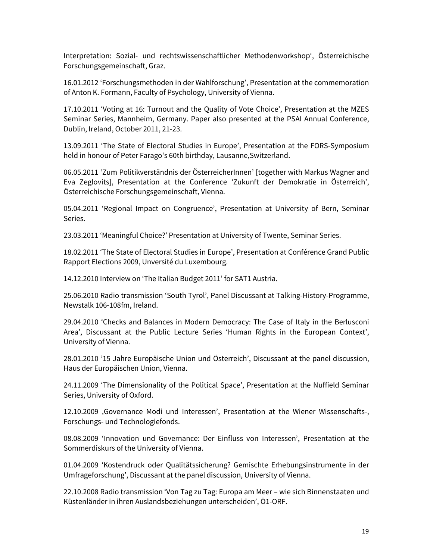Interpretation: Sozial- und rechtswissenschaftlicher Methodenworkshop', Österreichische Forschungsgemeinschaft, Graz.

16.01.2012 'Forschungsmethoden in der Wahlforschung', Presentation at the commemoration of Anton K. Formann, Faculty of Psychology, University of Vienna.

17.10.2011 'Voting at 16: Turnout and the Quality of Vote Choice', Presentation at the MZES Seminar Series, Mannheim, Germany. Paper also presented at the PSAI Annual Conference, Dublin, Ireland, October 2011, 21-23.

13.09.2011 'The State of Electoral Studies in Europe', Presentation at the FORS-Symposium held in honour of Peter Farago's 60th birthday, Lausanne,Switzerland.

06.05.2011 'Zum Politikverständnis der ÖsterreicherInnen' [together with Markus Wagner and Eva Zeglovits], Presentation at the Conference 'Zukunft der Demokratie in Österreich', Österreichische Forschungsgemeinschaft, Vienna.

05.04.2011 'Regional Impact on Congruence', Presentation at University of Bern, Seminar Series.

23.03.2011 'Meaningful Choice?' Presentation at University of Twente, Seminar Series.

18.02.2011 'The State of Electoral Studies in Europe', Presentation at Conférence Grand Public Rapport Elections 2009, Unversité du Luxembourg.

14.12.2010 Interview on 'The Italian Budget 2011' for SAT1 Austria.

25.06.2010 Radio transmission 'South Tyrol', Panel Discussant at Talking-History-Programme, Newstalk 106-108fm, Ireland.

29.04.2010 'Checks and Balances in Modern Democracy: The Case of Italy in the Berlusconi Area', Discussant at the Public Lecture Series 'Human Rights in the European Context', University of Vienna.

28.01.2010 '15 Jahre Europäische Union und Österreich', Discussant at the panel discussion, Haus der Europäischen Union, Vienna.

24.11.2009 'The Dimensionality of the Political Space', Presentation at the Nuffield Seminar Series, University of Oxford.

12.10.2009 'Governance Modi und Interessen', Presentation at the Wiener Wissenschafts-, Forschungs- und Technologiefonds.

08.08.2009 'Innovation und Governance: Der Einfluss von Interessen', Presentation at the Sommerdiskurs of the University of Vienna.

01.04.2009 'Kostendruck oder Qualitätssicherung? Gemischte Erhebungsinstrumente in der Umfrageforschung', Discussant at the panel discussion, University of Vienna.

22.10.2008 Radio transmission 'Von Tag zu Tag: Europa am Meer – wie sich Binnenstaaten und Küstenländer in ihren Auslandsbeziehungen unterscheiden', Ö1-ORF.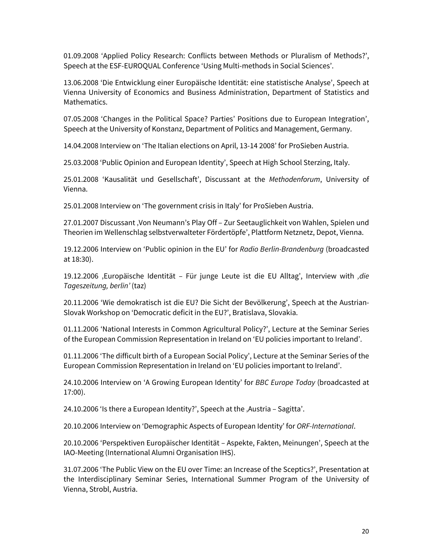01.09.2008 'Applied Policy Research: Conflicts between Methods or Pluralism of Methods?', Speech at the ESF-EUROQUAL Conference 'Using Multi-methods in Social Sciences'.

13.06.2008 'Die Entwicklung einer Europäische Identität: eine statistische Analyse', Speech at Vienna University of Economics and Business Administration, Department of Statistics and Mathematics.

07.05.2008 'Changes in the Political Space? Parties' Positions due to European Integration', Speech at the University of Konstanz, Department of Politics and Management, Germany.

14.04.2008 Interview on 'The Italian elections on April, 13-14 2008' for ProSieben Austria.

25.03.2008 'Public Opinion and European Identity', Speech at High School Sterzing, Italy.

25.01.2008 'Kausalität und Gesellschaft', Discussant at the *Methodenforum*, University of Vienna.

25.01.2008 Interview on 'The government crisis in Italy' for ProSieben Austria.

27.01.2007 Discussant 'Von Neumann's Play Off – Zur Seetauglichkeit von Wahlen, Spielen und Theorien im Wellenschlag selbstverwalteter Fördertöpfe', Plattform Netznetz, Depot, Vienna.

19.12.2006 Interview on 'Public opinion in the EU' for *Radio Berlin-Brandenburg* (broadcasted at 18:30).

19.12.2006 'Europäische Identität – Für junge Leute ist die EU Alltag', Interview with *'die Tageszeitung, berlin'* (taz)

20.11.2006 'Wie demokratisch ist die EU? Die Sicht der Bevölkerung', Speech at the Austrian-Slovak Workshop on 'Democratic deficit in the EU?', Bratislava, Slovakia.

01.11.2006 'National Interests in Common Agricultural Policy?', Lecture at the Seminar Series of the European Commission Representation in Ireland on 'EU policies important to Ireland'.

01.11.2006 'The difficult birth of a European Social Policy', Lecture at the Seminar Series of the European Commission Representation in Ireland on 'EU policies important to Ireland'.

24.10.2006 Interview on 'A Growing European Identity' for *BBC Europe Today* (broadcasted at 17:00).

24.10.2006 'Is there a European Identity?', Speech at the ,Austria - Sagitta'.

20.10.2006 Interview on 'Demographic Aspects of European Identity' for *ORF-International*.

20.10.2006 'Perspektiven Europäischer Identität – Aspekte, Fakten, Meinungen', Speech at the IAO-Meeting (International Alumni Organisation IHS).

31.07.2006 'The Public View on the EU over Time: an Increase of the Sceptics?', Presentation at the Interdisciplinary Seminar Series, International Summer Program of the University of Vienna, Strobl, Austria.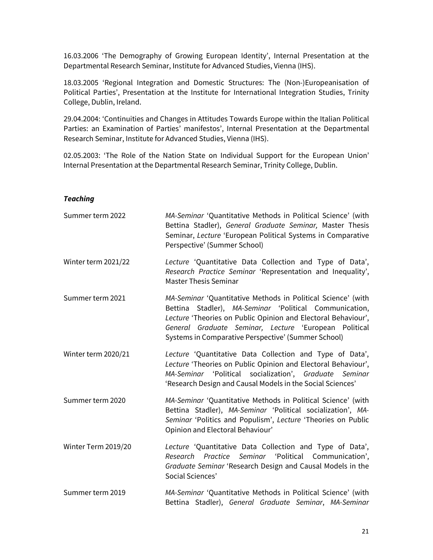16.03.2006 'The Demography of Growing European Identity', Internal Presentation at the Departmental Research Seminar, Institute for Advanced Studies, Vienna (IHS).

18.03.2005 'Regional Integration and Domestic Structures: The (Non-)Europeanisation of Political Parties', Presentation at the Institute for International Integration Studies, Trinity College, Dublin, Ireland.

29.04.2004: 'Continuities and Changes in Attitudes Towards Europe within the Italian Political Parties: an Examination of Parties' manifestos', Internal Presentation at the Departmental Research Seminar, Institute for Advanced Studies, Vienna (IHS).

02.05.2003: 'The Role of the Nation State on Individual Support for the European Union' Internal Presentation at the Departmental Research Seminar, Trinity College, Dublin.

### *Teaching*

| Summer term 2022    | MA-Seminar 'Quantitative Methods in Political Science' (with<br>Bettina Stadler), General Graduate Seminar, Master Thesis<br>Seminar, Lecture 'European Political Systems in Comparative<br>Perspective' (Summer School)                                                                                |
|---------------------|---------------------------------------------------------------------------------------------------------------------------------------------------------------------------------------------------------------------------------------------------------------------------------------------------------|
| Winter term 2021/22 | Lecture 'Quantitative Data Collection and Type of Data',<br>Research Practice Seminar 'Representation and Inequality',<br><b>Master Thesis Seminar</b>                                                                                                                                                  |
| Summer term 2021    | MA-Seminar 'Quantitative Methods in Political Science' (with<br>Bettina Stadler), MA-Seminar 'Political Communication,<br>Lecture 'Theories on Public Opinion and Electoral Behaviour',<br>General Graduate Seminar, Lecture 'European Political<br>Systems in Comparative Perspective' (Summer School) |
| Winter term 2020/21 | Lecture 'Quantitative Data Collection and Type of Data',<br>Lecture 'Theories on Public Opinion and Electoral Behaviour',<br>MA-Seminar 'Political socialization', Graduate Seminar<br>'Research Design and Causal Models in the Social Sciences'                                                       |
| Summer term 2020    | MA-Seminar 'Quantitative Methods in Political Science' (with<br>Bettina Stadler), MA-Seminar 'Political socialization', MA-<br>Seminar 'Politics and Populism', Lecture 'Theories on Public<br>Opinion and Electoral Behaviour'                                                                         |
| Winter Term 2019/20 | Lecture 'Quantitative Data Collection and Type of Data',<br>Research Practice Seminar 'Political Communication',<br>Graduate Seminar 'Research Design and Causal Models in the<br>Social Sciences'                                                                                                      |
| Summer term 2019    | MA-Seminar 'Quantitative Methods in Political Science' (with<br>Bettina Stadler), General Graduate Seminar, MA-Seminar                                                                                                                                                                                  |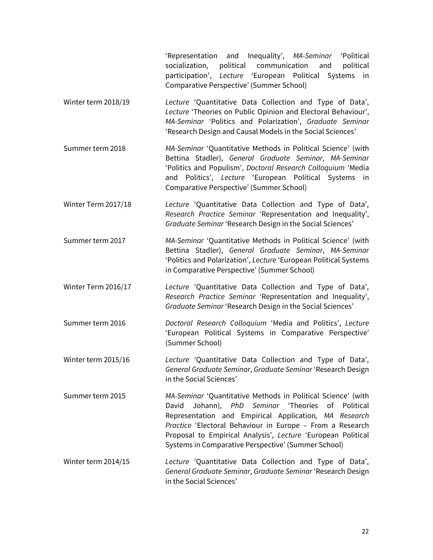'Representation and Inequality', *MA-Seminar* 'Political socialization, political communication and political participation', *Lecture* 'European Political Systems in Comparative Perspective' (Summer School)

- Winter term 2018/19 *Lecture* 'Quantitative Data Collection and Type of Data', *Lecture* 'Theories on Public Opinion and Electoral Behaviour', *MA-Seminar* 'Politics and Polarization', *Graduate Seminar*  'Research Design and Causal Models in the Social Sciences'
- Summer term 2018 *MA-Seminar* 'Quantitative Methods in Political Science' (with Bettina Stadler), *General Graduate Seminar*, *MA-Seminar* 'Politics and Populism', *Doctoral Research Colloquium* 'Media and Politics', *Lecture* 'European Political Systems in Comparative Perspective' (Summer School)
- Winter Term 2017/18 *Lecture* 'Quantitative Data Collection and Type of Data', *Research Practice Seminar* 'Representation and Inequality', *Graduate Seminar* 'Research Design in the Social Sciences'
- Summer term 2017 *MA-Seminar* 'Quantitative Methods in Political Science' (with Bettina Stadler), *General Graduate Seminar*, *MA-Seminar* 'Politics and Polarization', *Lecture* 'European Political Systems in Comparative Perspective' (Summer School)
- Winter Term 2016/17 *Lecture* 'Quantitative Data Collection and Type of Data', *Research Practice Seminar* 'Representation and Inequality', *Graduate Seminar* 'Research Design in the Social Sciences'
- Summer term 2016 *Doctoral Research Colloquium* 'Media and Politics', *Lecture* 'European Political Systems in Comparative Perspective' (Summer School)
- Winter term 2015/16 *Lecture* 'Quantitative Data Collection and Type of Data', *General Graduate Seminar*, *Graduate Seminar* 'Research Design in the Social Sciences'
- Summer term 2015 *MA-Seminar* 'Quantitative Methods in Political Science' (with David Johann), *PhD Seminar* 'Theories of Political Representation and Empirical Application*, MA Research Practice* 'Electoral Behaviour in Europe – From a Research Proposal to Empirical Analysis', *Lecture* 'European Political Systems in Comparative Perspective' (Summer School)
- Winter term 2014/15 *Lecture* 'Quantitative Data Collection and Type of Data', *General Graduate Seminar*, *Graduate Seminar* 'Research Design in the Social Sciences'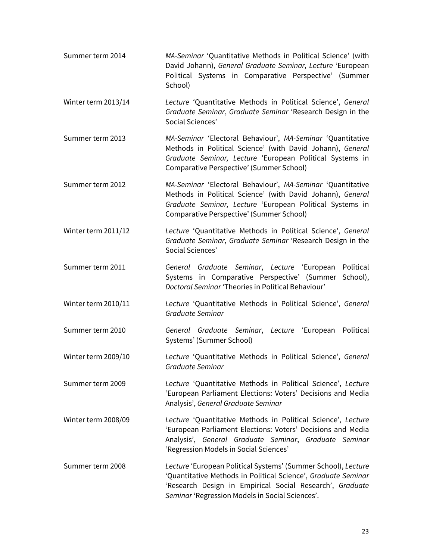| Summer term 2014    | MA-Seminar 'Quantitative Methods in Political Science' (with<br>David Johann), General Graduate Seminar, Lecture 'European<br>Political Systems in Comparative Perspective' (Summer<br>School)                                                |  |
|---------------------|-----------------------------------------------------------------------------------------------------------------------------------------------------------------------------------------------------------------------------------------------|--|
| Winter term 2013/14 | Lecture 'Quantitative Methods in Political Science', General<br>Graduate Seminar, Graduate Seminar 'Research Design in the<br>Social Sciences'                                                                                                |  |
| Summer term 2013    | MA-Seminar 'Electoral Behaviour', MA-Seminar 'Quantitative<br>Methods in Political Science' (with David Johann), General<br>Graduate Seminar, Lecture 'European Political Systems in<br>Comparative Perspective' (Summer School)              |  |
| Summer term 2012    | MA-Seminar 'Electoral Behaviour', MA-Seminar 'Quantitative<br>Methods in Political Science' (with David Johann), General<br>Graduate Seminar, Lecture 'European Political Systems in<br>Comparative Perspective' (Summer School)              |  |
| Winter term 2011/12 | Lecture 'Quantitative Methods in Political Science', General<br>Graduate Seminar, Graduate Seminar 'Research Design in the<br>Social Sciences'                                                                                                |  |
| Summer term 2011    | General Graduate Seminar, Lecture 'European Political<br>Systems in Comparative Perspective' (Summer School),<br>Doctoral Seminar 'Theories in Political Behaviour'                                                                           |  |
| Winter term 2010/11 | Lecture 'Quantitative Methods in Political Science', General<br>Graduate Seminar                                                                                                                                                              |  |
| Summer term 2010    | General Graduate Seminar, Lecture 'European Political<br>Systems' (Summer School)                                                                                                                                                             |  |
| Winter term 2009/10 | Lecture 'Quantitative Methods in Political Science', General<br>Graduate Seminar                                                                                                                                                              |  |
| Summer term 2009    | Lecture 'Quantitative Methods in Political Science', Lecture<br>'European Parliament Elections: Voters' Decisions and Media<br>Analysis', General Graduate Seminar                                                                            |  |
| Winter term 2008/09 | Lecture 'Quantitative Methods in Political Science', Lecture<br>'European Parliament Elections: Voters' Decisions and Media<br>Analysis', General Graduate Seminar, Graduate Seminar<br>'Regression Models in Social Sciences'                |  |
| Summer term 2008    | Lecture 'European Political Systems' (Summer School), Lecture<br>'Quantitative Methods in Political Science', Graduate Seminar<br>'Research Design in Empirical Social Research', Graduate<br>Seminar 'Regression Models in Social Sciences'. |  |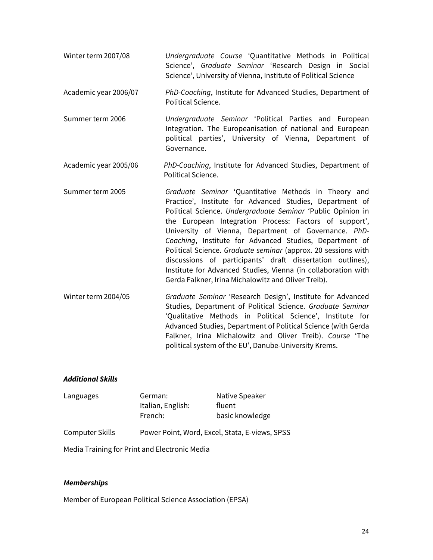- Winter term 2007/08 *Undergraduate Course* 'Quantitative Methods in Political Science', *Graduate Seminar* 'Research Design in Social Science', University of Vienna, Institute of Political Science
- Academic year 2006/07 *PhD*-*Coaching*, Institute for Advanced Studies, Department of Political Science.
- Summer term 2006 *Undergraduate Seminar* 'Political Parties and European Integration. The Europeanisation of national and European political parties', University of Vienna, Department of Governance.
- Academic year 2005/06 *PhD-Coaching*, Institute for Advanced Studies, Department of Political Science.
- Summer term 2005 *Graduate Seminar* 'Quantitative Methods in Theory and Practice', Institute for Advanced Studies, Department of Political Science. *Undergraduate Seminar* 'Public Opinion in the European Integration Process: Factors of support', University of Vienna, Department of Governance. *PhD*-*Coaching*, Institute for Advanced Studies, Department of Political Science. *Graduate seminar* (approx. 20 sessions with discussions of participants' draft dissertation outlines), Institute for Advanced Studies, Vienna (in collaboration with Gerda Falkner, Irina Michalowitz and Oliver Treib).
- Winter term 2004/05 *Graduate Seminar* 'Research Design', Institute for Advanced Studies, Department of Political Science. *Graduate Seminar* 'Qualitative Methods in Political Science', Institute for Advanced Studies, Department of Political Science (with Gerda Falkner, Irina Michalowitz and Oliver Treib). *Course* 'The political system of the EU', Danube-University Krems.

### *Additional Skills*

| Languages       | German:                                        | Native Speaker  |
|-----------------|------------------------------------------------|-----------------|
|                 | Italian, English:                              | fluent          |
|                 | French:                                        | basic knowledge |
| Computer Skills | Power Point, Word, Excel, Stata, E-views, SPSS |                 |

Media Training for Print and Electronic Media

### *Memberships*

Member of European Political Science Association (EPSA)